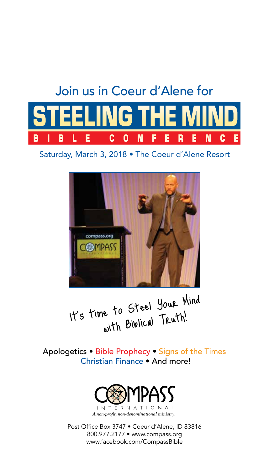

Saturday, March 3, 2018 • The Coeur d'Alene Resort



It's time to Steel Your Mind with Biblical Truth!

Apologetics • Bible Prophecy • Signs of the Times Christian Finance • And more!



Post Office Box 3747 • Coeur d'Alene, ID 83816 800.977.2177 • www.compass.org www.facebook.com/CompassBible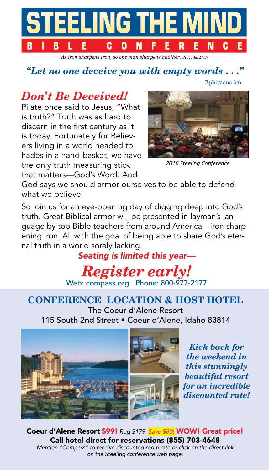

*As iron sharpens iron, so one man sharpens another.* Proverbs 27:17

## *"Let no one deceive you with empty words . . ."*

Ephesians 5:6

# *Don't Be Deceived!*

Pilate once said to Jesus, "What is truth?" Truth was as hard to discern in the first century as it is today. Fortunately for Believers living in a world headed to hades in a hand-basket, we have the only truth measuring stick that matters—God's Word. And



*2016 Steeling Conference*

God says we should armor ourselves to be able to defend what we believe.

So join us for an eye-opening day of digging deep into God's truth. Great Biblical armor will be presented in layman's language by top Bible teachers from around America—iron sharpening iron! All with the goal of being able to share God's eternal truth in a world sorely lacking.

*Seating is limited this year—*

*Register early!* Web: compass.org Phone: 800-977-2177

## **CONFERENCE LOCATION & HOST HOTEL**

The Coeur d'Alene Resort 115 South 2nd Street • Coeur d'Alene, Idaho 83814



*Kick back for the weekend in this stunningly beautiful resort for an incredible discounted rate!* 

Coeur d'Alene Resort \$99! *Reg \$179 Save \$80!* WOW! Great price! Call hotel direct for reservations (855) 703-4648 *Mention "Compass" to receive discounted room rate or click on the direct link on the Steeling conference web page.*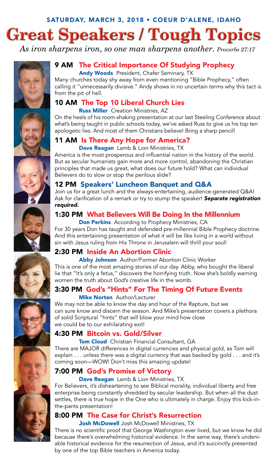# SATURDAY, MARCH 3, 2018 • COEUR D'ALENE, IDAHO **Great Speakers / Tough Topics**

*As iron sharpens iron, so one man sharpens another. Proverbs 27:17*



## 9 AM The Critical Importance Of Studying Prophecy

Andy Woods President, Chafer Seminary, TX Many churches today shy away from even mentioning "Bible Prophecy," often calling it "unnecessarily divisive." Andy shows in no uncertain terms why this tact is from the pit of hell.

#### 10 AM The Top 10 Liberal Church Lies

Russ Miller Creation Ministries, AZ

On the heels of his room-shaking presentation at our last Steeling Conference about what's being taught in public schools today, we've asked Russ to give us his top ten apologetic lies. And most of them Christians believe! Bring a sharp pencil!

### 11 AM Is There Any Hope for America?

Dave Reagan Lamb & Lion Ministries, TX

America is the most prosperous and influential nation in the history of the world. But as secular humanists gain more and more control, abandoning the Christian principles that made us great, what does our future hold? What can individual Believers do to slow or stop the perilous slide?



#### 12 PM Speakers' Luncheon Banquet and Q&A

Join us for a great lunch and the always-entertaining, audience-generated Q&A! Ask for clarification of a remark or try to stump the speaker! *Separate registration required.*

#### 1:30 PM What Believers Will Be Doing In the Millennium

**Don Perkins** According to Prophecy Ministries, CA

For 30 years Don has taught and defended pre-millennial Bible Prophecy doctrine. And this entertaining presentation of what it will be like living in a world without sin with Jesus ruling from His Throne in Jerusalem will thrill your soul!

#### 2:30 PM Inside An Abortion Clinic

Abby Johnson Author/Former Abortion Clinic Worker This is one of the most amazing stories of our day. Abby, who bought the liberal lie that "It's only a fetus," discovers the horrifying truth. Now she's boldly warning women the truth about God's creative life in the womb.

#### 3:30 PM God's "Hints" For The Timing Of Future Events

#### **Mike Norten** Author/Lecturer

We may not be able to know the day and hour of the Rapture, but we can sure know and discern the season. And Mike's presentation covers a plethora of solid Scriptural "hints" that will blow your mind how close we could be to our exhilarating exit!

#### 4:30 PM Bitcoin vs. Gold/Silver

**Tom Cloud** Christian Financial Consultant, GA

There are MAJOR differences in digital currencies and physical gold, as Tom will explain . . . unless there was a digital currency that was backed by gold . . . and it's coming soon—WOW! Don't miss this amazing update!

#### 7:00 PM God's Promise of Victory

Dave Reagan Lamb & Lion Ministries, TX

For Believers, it's disheartening to see Biblical morality, individual liberty and free enterprise being constantly shredded by secular leadership. But when all the dust settles, there is true hope in the One who is ultimately in charge. Enjoy this kick-inthe-pants presentation!

#### 8:00 PM The Case for Christ's Resurrection

Josh McDowell Josh McDowell Ministries, TX

There is no scientific proof that George Washington ever lived, but we know he did because there's overwhelming historical evidence. In the same way, there's undeniable historical evidence for the resurrection of Jesus, and it's succinctly presented by one of the top Bible teachers in America today.